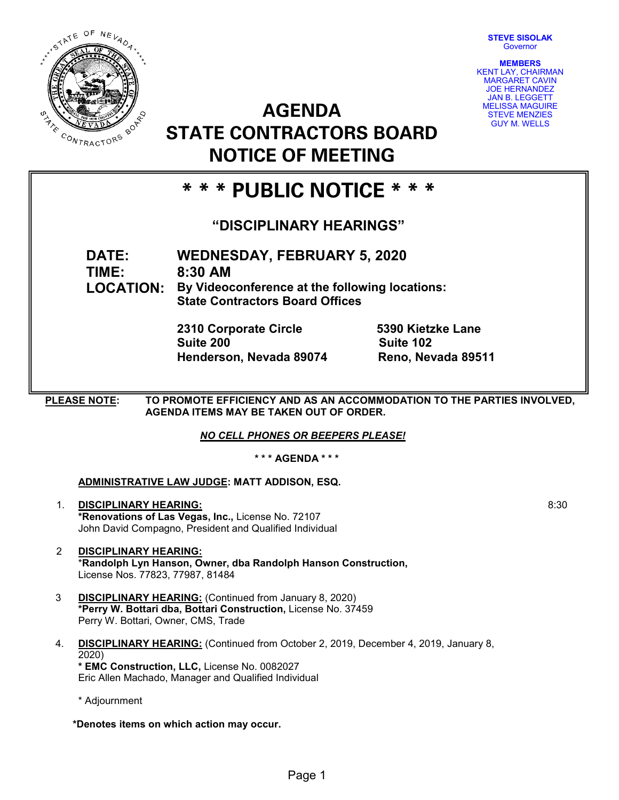**STEVE SISOLAK Governor** 



**AGENDA STATE CONTRACTORS BOARD NOTICE OF MEETING**



# **\* \* \* PUBLIC NOTICE \* \* \***

# **"DISCIPLINARY HEARINGS"**

**DATE: WEDNESDAY, FEBRUARY 5, 2020 TIME: 8:30 AM**

**LOCATION: By Videoconference at the following locations: State Contractors Board Offices**

> **2310 Corporate Circle 5390 Kietzke Lane Suite 200 Suite 102 Henderson, Nevada 89074**

**PLEASE NOTE: TO PROMOTE EFFICIENCY AND AS AN ACCOMMODATION TO THE PARTIES INVOLVED, AGENDA ITEMS MAY BE TAKEN OUT OF ORDER.**

*NO CELL PHONES OR BEEPERS PLEASE!* 

**\* \* \* AGENDA \* \* \***

## **ADMINISTRATIVE LAW JUDGE: MATT ADDISON, ESQ.**

- 1. **DISCIPLINARY HEARING: \*Renovations of Las Vegas, Inc.,** License No. 72107 John David Compagno, President and Qualified Individual
- 2 **DISCIPLINARY HEARING:** \***Randolph Lyn Hanson, Owner, dba Randolph Hanson Construction,** License Nos. 77823, 77987, 81484
- 3 **DISCIPLINARY HEARING:** (Continued from January 8, 2020) **\*Perry W. Bottari dba, Bottari Construction,** License No. 37459 Perry W. Bottari, Owner, CMS, Trade
- 4. **DISCIPLINARY HEARING:** (Continued from October 2, 2019, December 4, 2019, January 8, 2020) **\* EMC Construction, LLC,** License No. 0082027

Eric Allen Machado, Manager and Qualified Individual

\* Adjournment

**\*Denotes items on which action may occur.**

8:30